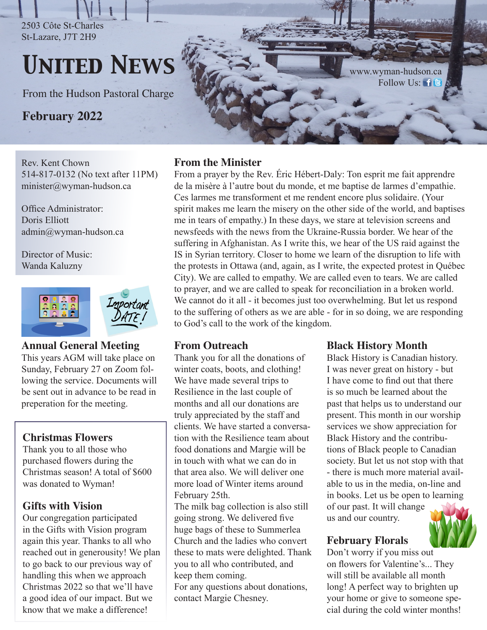2503 Côte St-Charles St-Lazare, J7T 2H9

# *United News*

From the Hudson Pastoral Charge

**February 2022**

Rev. Kent Chown 514-817-0132 (No text after 11PM) minister@wyman-hudson.ca

Office Administrator: Doris Elliott admin@wyman-hudson.ca

Director of Music: Wanda Kaluzny



#### **Annual General Meeting**

This years AGM will take place on Sunday, February 27 on Zoom following the service. Documents will be sent out in advance to be read in preperation for the meeting.

# **Christmas Flowers**

Thank you to all those who purchased flowers during the Christmas season! A total of \$600 was donated to Wyman!

### **Gifts with Vision**

Our congregation participated in the Gifts with Vision program again this year. Thanks to all who reached out in generousity! We plan to go back to our previous way of handling this when we approach Christmas 2022 so that we'll have a good idea of our impact. But we know that we make a difference!

#### **From the Minister**

From a prayer by the Rev. Éric Hébert-Daly: Ton esprit me fait apprendre de la misère à l'autre bout du monde, et me baptise de larmes d'empathie. Ces larmes me transforment et me rendent encore plus solidaire. (Your spirit makes me learn the misery on the other side of the world, and baptises me in tears of empathy.) In these days, we stare at television screens and newsfeeds with the news from the Ukraine-Russia border. We hear of the suffering in Afghanistan. As I write this, we hear of the US raid against the IS in Syrian territory. Closer to home we learn of the disruption to life with the protests in Ottawa (and, again, as I write, the expected protest in Québec City). We are called to empathy. We are called even to tears. We are called to prayer, and we are called to speak for reconciliation in a broken world. We cannot do it all - it becomes just too overwhelming. But let us respond to the suffering of others as we are able - for in so doing, we are responding to God's call to the work of the kingdom.

### **From Outreach**

Thank you for all the donations of winter coats, boots, and clothing! We have made several trips to Resilience in the last couple of months and all our donations are truly appreciated by the staff and clients. We have started a conversation with the Resilience team about food donations and Margie will be in touch with what we can do in that area also. We will deliver one more load of Winter items around February 25th.

The milk bag collection is also still going strong. We delivered five huge bags of these to Summerlea Church and the ladies who convert these to mats were delighted. Thank you to all who contributed, and keep them coming.

For any questions about donations, contact Margie Chesney.

### **Black History Month**

Black History is Canadian history. I was never great on history - but I have come to find out that there is so much be learned about the past that helps us to understand our present. This month in our worship services we show appreciation for Black History and the contributions of Black people to Canadian society. But let us not stop with that - there is much more material available to us in the media, on-line and in books. Let us be open to learning

of our past. It will change us and our country.

# **February Florals**

Don't worry if you miss out on flowers for Valentine's... They will still be available all month long! A perfect way to brighten up your home or give to someone special during the cold winter months!



www.wyman-hudson[.ca](https://twitter.com/UnitedWymanCote) FollowUs: 1